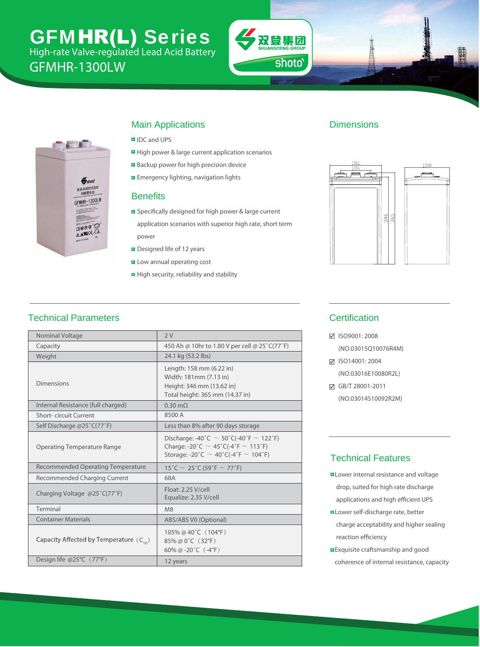# GFMHR-LW Series High-rate Valve-regulated Lead Acid Battery

GFMHR-1300W





### Main Applications

- **D** IDC and UPS
- **E** High power & large current application scenarios
- Backup power for high precision device
- **E** Emergency lighting, navigation lights

#### **Benefits**

- **B** Specifically designed for high power & large current application scenarios with superior high rate, short term power
- Designed life of 12 years
- **E** Low annual operating cost
- $\blacksquare$  High security, reliability and stability

#### Dimensions



### Technical Parameters

| Nominal Voltage                             | 2V                                                                                                                                                |  |  |  |  |  |
|---------------------------------------------|---------------------------------------------------------------------------------------------------------------------------------------------------|--|--|--|--|--|
| Capacity                                    | 450 Ah @ 10hr to 1.80 V per cell @ 25°C(77°F)                                                                                                     |  |  |  |  |  |
| Weight                                      | 24.1 kg (53.2 lbs)                                                                                                                                |  |  |  |  |  |
| <b>Dimensions</b>                           | Length: 158 mm (6.22 in)<br>Width: 181mm (7.13 in)<br>Height: 346 mm (13.62 in)<br>Total height: 365 mm (14.37 in)                                |  |  |  |  |  |
| Internal Resistance (full charged)          | $0.35$ m $\Omega$                                                                                                                                 |  |  |  |  |  |
| <b>Short-circuit Current</b>                | 8000 A                                                                                                                                            |  |  |  |  |  |
| Self Discharge @25°C(77°F)                  | Less than 8% after 90 days storage                                                                                                                |  |  |  |  |  |
| <b>Operating Temperature Range</b>          | Discharge: -40°C $\sim$ 50°C(-40°F $\sim$ 122°F)<br>Charge: -20°C $\sim$ 45°C(-4°F $\sim$ 113°F)<br>Storage: -20°C $\sim$ 40°C(-4°F $\sim$ 104°F) |  |  |  |  |  |
| <b>Recommended Operating Temperature</b>    | $15^{\circ}$ C ~ 25 $^{\circ}$ C (59 $^{\circ}$ F ~ 77 $^{\circ}$ F)                                                                              |  |  |  |  |  |
| Recommended Charging Current                | 68A                                                                                                                                               |  |  |  |  |  |
| Charging Voltage @25°C(77°F)                | Float: 2.25 V/cell<br>Equalize: 2.35 V/cell                                                                                                       |  |  |  |  |  |
| Terminal                                    | M <sub>8</sub>                                                                                                                                    |  |  |  |  |  |
| <b>Container Materials</b>                  | ABS/ABS V0 (Optional)                                                                                                                             |  |  |  |  |  |
| Capacity Affected by Temperature $(C_{10})$ | 105% @ 40 $^{\circ}$ C (104 $^{\circ}$ F)<br>85% @ 0°C (32°F)<br>60% @ -20 $^{\circ}$ C (-4 $^{\circ}$ F)                                         |  |  |  |  |  |
| Design life @25°C (77°F)                    | 12 years                                                                                                                                          |  |  |  |  |  |

#### **Certification**

ISO9001: 2008

(NO.03015Q10076R4M)

**Ø ISO14001: 2004** (NO.03016E10080R2L)

GB/T 28001-2011

(NO.03014S10092R2M)

#### Technical Features

- **D** Lower internal resistance and voltage drop, suited for high rate discharge applications and high efficient UPS
- **ELower self-discharge rate, better**  charge acceptability and higher sealing reaction efficiency
- **Exquisite craftsmanship and good** coherence of internal resistance, capacity